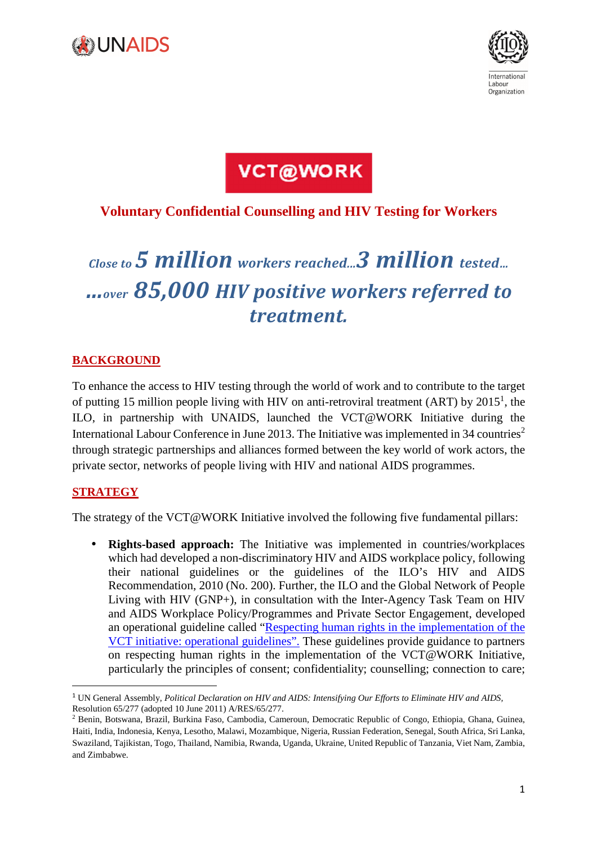



**VCT@WORK** 

## **Voluntary Confidential Counselling and HIV Testing for Workers**

# *Close to 5 million workers reached...3 million tested… …over 85,000 HIV positive workers referred to treatment.*

## **BACKGROUND**

To enhance the access to HIV testing through the world of work and to contribute to the target of putting 15 million people living with HIV on anti-retroviral treatment (ART) by  $2015<sup>1</sup>$ , the ILO, in partnership with UNAIDS, launched the VCT@WORK Initiative during the International Labour Conference in June 2013. The Initiative was implemented in 34 countries<sup>2</sup> through strategic partnerships and alliances formed between the key world of work actors, the private sector, networks of people living with HIV and national AIDS programmes.

## **STRATEGY**

 $\overline{a}$ 

The strategy of the VCT@WORK Initiative involved the following five fundamental pillars:

• **Rights-based approach:** The Initiative was implemented in countries/workplaces which had developed a non-discriminatory HIV and AIDS workplace policy, following their national guidelines or the guidelines of the ILO's HIV and AIDS Recommendation, 2010 (No. 200). Further, the ILO and the Global Network of People Living with HIV (GNP+), in consultation with the Inter-Agency Task Team on HIV and AIDS Workplace Policy/Programmes and Private Sector Engagement, developed an operational guideline called "Respecting human rights in the implementation of the VCT initiative: operational guidelines". These guidelines provide guidance to partners on respecting human rights in the implementation of the VCT@WORK Initiative, particularly the principles of consent; confidentiality; counselling; connection to care;

<sup>1</sup> UN General Assembly, *Political Declaration on HIV and AIDS: Intensifying Our Efforts to Eliminate HIV and AIDS,* Resolution 65/277 (adopted 10 June 2011) A/RES/65/277.

<sup>2</sup> Benin, Botswana, Brazil, Burkina Faso, Cambodia, Cameroun, Democratic Republic of Congo, Ethiopia, Ghana, Guinea, Haiti, India, Indonesia, Kenya, Lesotho, Malawi, Mozambique, Nigeria, Russian Federation, Senegal, South Africa, Sri Lanka, Swaziland, Tajikistan, Togo, Thailand, Namibia, Rwanda, Uganda, Ukraine, United Republic of Tanzania, Viet Nam, Zambia, and Zimbabwe.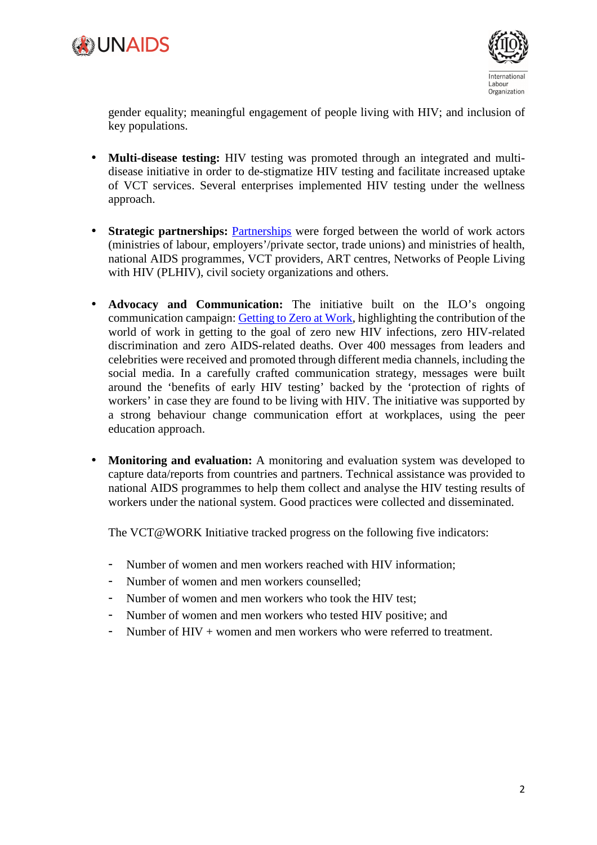



gender equality; meaningful engagement of people living with HIV; and inclusion of key populations.

- **Multi-disease testing:** HIV testing was promoted through an integrated and multidisease initiative in order to de-stigmatize HIV testing and facilitate increased uptake of VCT services. Several enterprises implemented HIV testing under the wellness approach.
- **Strategic partnerships:** Partnerships were forged between the world of work actors (ministries of labour, employers'/private sector, trade unions) and ministries of health, national AIDS programmes, VCT providers, ART centres, Networks of People Living with HIV (PLHIV), civil society organizations and others.
- **Advocacy and Communication:** The initiative built on the ILO's ongoing communication campaign: Getting to Zero at Work, highlighting the contribution of the world of work in getting to the goal of zero new HIV infections, zero HIV-related discrimination and zero AIDS-related deaths. Over 400 messages from leaders and celebrities were received and promoted through different media channels, including the social media. In a carefully crafted communication strategy, messages were built around the 'benefits of early HIV testing' backed by the 'protection of rights of workers' in case they are found to be living with HIV. The initiative was supported by a strong behaviour change communication effort at workplaces, using the peer education approach.
- **Monitoring and evaluation:** A monitoring and evaluation system was developed to capture data/reports from countries and partners. Technical assistance was provided to national AIDS programmes to help them collect and analyse the HIV testing results of workers under the national system. Good practices were collected and disseminated.

The VCT@WORK Initiative tracked progress on the following five indicators:

- Number of women and men workers reached with HIV information;
- Number of women and men workers counselled;
- Number of women and men workers who took the HIV test;
- Number of women and men workers who tested HIV positive; and
- Number of  $HIV +$  women and men workers who were referred to treatment.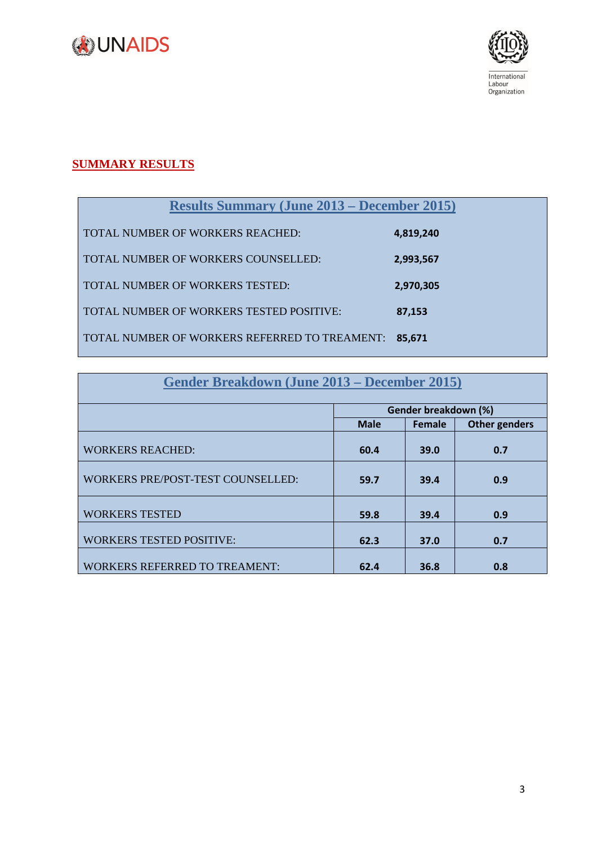



## **SUMMARY RESULTS**

| <b>Results Summary (June 2013 – December 2015)</b> |           |  |  |  |
|----------------------------------------------------|-----------|--|--|--|
| <b>TOTAL NUMBER OF WORKERS REACHED:</b>            | 4,819,240 |  |  |  |
| TOTAL NUMBER OF WORKERS COUNSELLED:                | 2,993,567 |  |  |  |
| TOTAL NUMBER OF WORKERS TESTED:                    | 2,970,305 |  |  |  |
| TOTAL NUMBER OF WORKERS TESTED POSITIVE:           | 87.153    |  |  |  |
| TOTAL NUMBER OF WORKERS REFERRED TO TREAMENT:      | 85.671    |  |  |  |

| <b>Gender Breakdown (June 2013 – December 2015)</b> |                      |        |                      |
|-----------------------------------------------------|----------------------|--------|----------------------|
|                                                     | Gender breakdown (%) |        |                      |
|                                                     | <b>Male</b>          | Female | <b>Other genders</b> |
| <b>WORKERS REACHED:</b>                             | 60.4                 | 39.0   | 0.7                  |
| <b>WORKERS PRE/POST-TEST COUNSELLED:</b>            | 59.7                 | 39.4   | 0.9                  |
| <b>WORKERS TESTED</b>                               | 59.8                 | 39.4   | 0.9                  |
| <b>WORKERS TESTED POSITIVE:</b>                     | 62.3                 | 37.0   | 0.7                  |
| <b>WORKERS REFERRED TO TREAMENT:</b>                | 62.4                 | 36.8   | 0.8                  |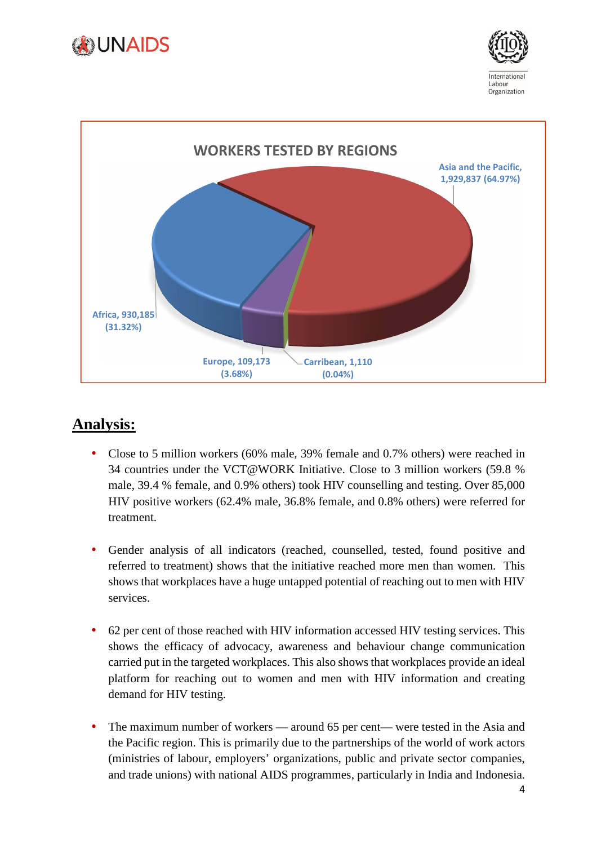





# **Analysis:**

- Close to 5 million workers (60% male, 39% female and 0.7% others) were reached in 34 countries under the VCT@WORK Initiative. Close to 3 million workers (59.8 % male, 39.4 % female, and 0.9% others) took HIV counselling and testing. Over 85,000 HIV positive workers (62.4% male, 36.8% female, and 0.8% others) were referred for treatment.
- Gender analysis of all indicators (reached, counselled, tested, found positive and referred to treatment) shows that the initiative reached more men than women. This shows that workplaces have a huge untapped potential of reaching out to men with HIV services.
- 62 per cent of those reached with HIV information accessed HIV testing services. This shows the efficacy of advocacy, awareness and behaviour change communication carried put in the targeted workplaces. This also shows that workplaces provide an ideal platform for reaching out to women and men with HIV information and creating demand for HIV testing.
- The maximum number of workers around 65 per cent— were tested in the Asia and the Pacific region. This is primarily due to the partnerships of the world of work actors (ministries of labour, employers' organizations, public and private sector companies, and trade unions) with national AIDS programmes, particularly in India and Indonesia.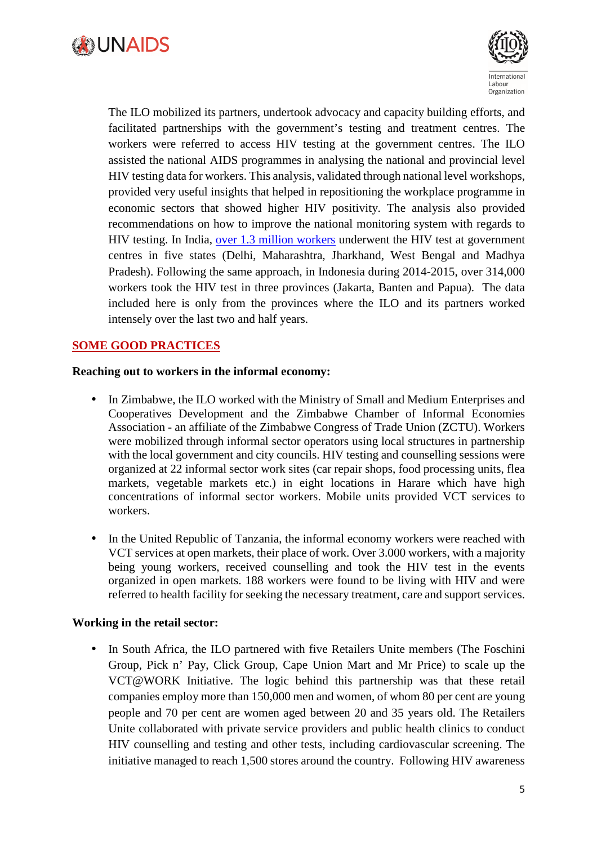



The ILO mobilized its partners, undertook advocacy and capacity building efforts, and facilitated partnerships with the government's testing and treatment centres. The workers were referred to access HIV testing at the government centres. The ILO assisted the national AIDS programmes in analysing the national and provincial level HIV testing data for workers. This analysis, validated through national level workshops, provided very useful insights that helped in repositioning the workplace programme in economic sectors that showed higher HIV positivity. The analysis also provided recommendations on how to improve the national monitoring system with regards to HIV testing. In India, over 1.3 million workers underwent the HIV test at government centres in five states (Delhi, Maharashtra, Jharkhand, West Bengal and Madhya Pradesh). Following the same approach, in Indonesia during 2014-2015, over 314,000 workers took the HIV test in three provinces (Jakarta, Banten and Papua). The data included here is only from the provinces where the ILO and its partners worked intensely over the last two and half years.

#### **SOME GOOD PRACTICES**

#### **Reaching out to workers in the informal economy:**

- In Zimbabwe, the ILO worked with the Ministry of Small and Medium Enterprises and Cooperatives Development and the Zimbabwe Chamber of Informal Economies Association - an affiliate of the Zimbabwe Congress of Trade Union (ZCTU). Workers were mobilized through informal sector operators using local structures in partnership with the local government and city councils. HIV testing and counselling sessions were organized at 22 informal sector work sites (car repair shops, food processing units, flea markets, vegetable markets etc.) in eight locations in Harare which have high concentrations of informal sector workers. Mobile units provided VCT services to workers.
- In the United Republic of Tanzania, the informal economy workers were reached with VCT services at open markets, their place of work. Over 3.000 workers, with a majority being young workers, received counselling and took the HIV test in the events organized in open markets. 188 workers were found to be living with HIV and were referred to health facility for seeking the necessary treatment, care and support services.

#### **Working in the retail sector:**

• In South Africa, the ILO partnered with five Retailers Unite members (The Foschini Group, Pick n' Pay, Click Group, Cape Union Mart and Mr Price) to scale up the VCT@WORK Initiative. The logic behind this partnership was that these retail companies employ more than 150,000 men and women, of whom 80 per cent are young people and 70 per cent are women aged between 20 and 35 years old. The Retailers Unite collaborated with private service providers and public health clinics to conduct HIV counselling and testing and other tests, including cardiovascular screening. The initiative managed to reach 1,500 stores around the country. Following HIV awareness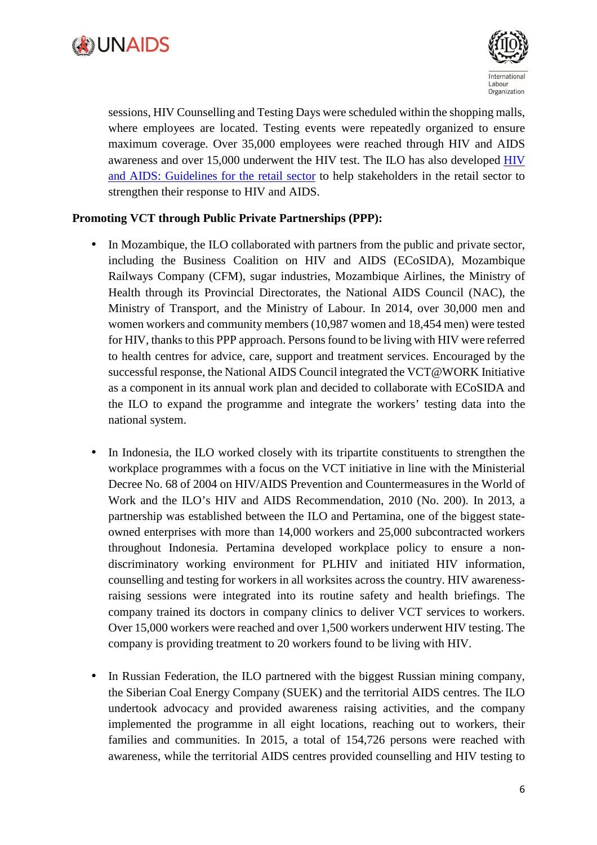



sessions, HIV Counselling and Testing Days were scheduled within the shopping malls, where employees are located. Testing events were repeatedly organized to ensure maximum coverage. Over 35,000 employees were reached through HIV and AIDS awareness and over 15,000 underwent the HIV test. The ILO has also developed HIV and AIDS: Guidelines for the retail sector to help stakeholders in the retail sector to strengthen their response to HIV and AIDS.

#### **Promoting VCT through Public Private Partnerships (PPP):**

- In Mozambique, the ILO collaborated with partners from the public and private sector, including the Business Coalition on HIV and AIDS (ECoSIDA), Mozambique Railways Company (CFM), sugar industries, Mozambique Airlines, the Ministry of Health through its Provincial Directorates, the National AIDS Council (NAC), the Ministry of Transport, and the Ministry of Labour. In 2014, over 30,000 men and women workers and community members (10,987 women and 18,454 men) were tested for HIV, thanks to this PPP approach. Persons found to be living with HIV were referred to health centres for advice, care, support and treatment services. Encouraged by the successful response, the National AIDS Council integrated the VCT@WORK Initiative as a component in its annual work plan and decided to collaborate with ECoSIDA and the ILO to expand the programme and integrate the workers' testing data into the national system.
- In Indonesia, the ILO worked closely with its tripartite constituents to strengthen the workplace programmes with a focus on the VCT initiative in line with the Ministerial Decree No. 68 of 2004 on HIV/AIDS Prevention and Countermeasures in the World of Work and the ILO's HIV and AIDS Recommendation, 2010 (No. 200). In 2013, a partnership was established between the ILO and Pertamina, one of the biggest stateowned enterprises with more than 14,000 workers and 25,000 subcontracted workers throughout Indonesia. Pertamina developed workplace policy to ensure a nondiscriminatory working environment for PLHIV and initiated HIV information, counselling and testing for workers in all worksites across the country. HIV awarenessraising sessions were integrated into its routine safety and health briefings. The company trained its doctors in company clinics to deliver VCT services to workers. Over 15,000 workers were reached and over 1,500 workers underwent HIV testing. The company is providing treatment to 20 workers found to be living with HIV.
- In Russian Federation, the ILO partnered with the biggest Russian mining company, the Siberian Coal Energy Company (SUEK) and the territorial AIDS centres. The ILO undertook advocacy and provided awareness raising activities, and the company implemented the programme in all eight locations, reaching out to workers, their families and communities. In 2015, a total of 154,726 persons were reached with awareness, while the territorial AIDS centres provided counselling and HIV testing to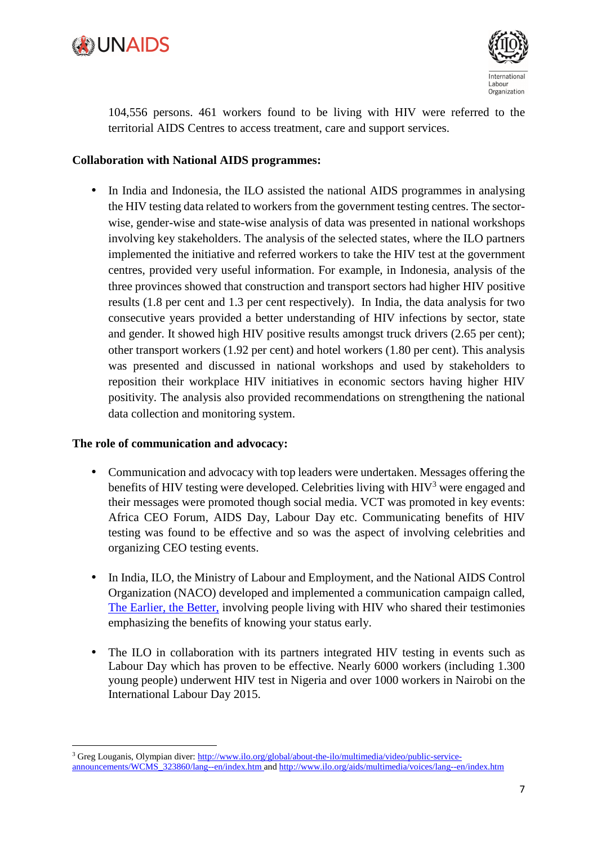



104,556 persons. 461 workers found to be living with HIV were referred to the territorial AIDS Centres to access treatment, care and support services.

#### **Collaboration with National AIDS programmes:**

• In India and Indonesia, the ILO assisted the national AIDS programmes in analysing the HIV testing data related to workers from the government testing centres. The sectorwise, gender-wise and state-wise analysis of data was presented in national workshops involving key stakeholders. The analysis of the selected states, where the ILO partners implemented the initiative and referred workers to take the HIV test at the government centres, provided very useful information. For example, in Indonesia, analysis of the three provinces showed that construction and transport sectors had higher HIV positive results (1.8 per cent and 1.3 per cent respectively). In India, the data analysis for two consecutive years provided a better understanding of HIV infections by sector, state and gender. It showed high HIV positive results amongst truck drivers (2.65 per cent); other transport workers (1.92 per cent) and hotel workers (1.80 per cent). This analysis was presented and discussed in national workshops and used by stakeholders to reposition their workplace HIV initiatives in economic sectors having higher HIV positivity. The analysis also provided recommendations on strengthening the national data collection and monitoring system.

#### **The role of communication and advocacy:**

l

- Communication and advocacy with top leaders were undertaken. Messages offering the benefits of HIV testing were developed. Celebrities living with  $HIV<sup>3</sup>$  were engaged and their messages were promoted though social media. VCT was promoted in key events: Africa CEO Forum, AIDS Day, Labour Day etc. Communicating benefits of HIV testing was found to be effective and so was the aspect of involving celebrities and organizing CEO testing events.
- In India, ILO, the Ministry of Labour and Employment, and the National AIDS Control Organization (NACO) developed and implemented a communication campaign called, The Earlier, the Better, involving people living with HIV who shared their testimonies emphasizing the benefits of knowing your status early.
- The ILO in collaboration with its partners integrated HIV testing in events such as Labour Day which has proven to be effective. Nearly 6000 workers (including 1.300 young people) underwent HIV test in Nigeria and over 1000 workers in Nairobi on the International Labour Day 2015.

<sup>&</sup>lt;sup>3</sup> Greg Louganis, Olympian diver: http://www.ilo.org/global/about-the-ilo/multimedia/video/public-serviceannouncements/WCMS\_323860/lang--en/index.htm and http://www.ilo.org/aids/multimedia/voices/lang--en/index.htm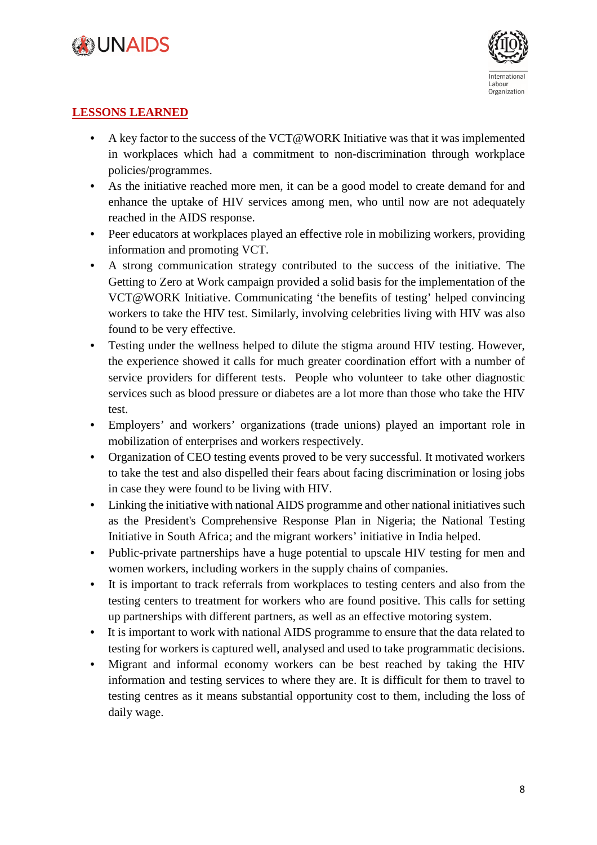



#### **LESSONS LEARNED**

- A key factor to the success of the VCT@WORK Initiative was that it was implemented in workplaces which had a commitment to non-discrimination through workplace policies/programmes.
- As the initiative reached more men, it can be a good model to create demand for and enhance the uptake of HIV services among men, who until now are not adequately reached in the AIDS response.
- Peer educators at workplaces played an effective role in mobilizing workers, providing information and promoting VCT.
- A strong communication strategy contributed to the success of the initiative. The Getting to Zero at Work campaign provided a solid basis for the implementation of the VCT@WORK Initiative. Communicating 'the benefits of testing' helped convincing workers to take the HIV test. Similarly, involving celebrities living with HIV was also found to be very effective.
- Testing under the wellness helped to dilute the stigma around HIV testing. However, the experience showed it calls for much greater coordination effort with a number of service providers for different tests. People who volunteer to take other diagnostic services such as blood pressure or diabetes are a lot more than those who take the HIV test.
- Employers' and workers' organizations (trade unions) played an important role in mobilization of enterprises and workers respectively.
- Organization of CEO testing events proved to be very successful. It motivated workers to take the test and also dispelled their fears about facing discrimination or losing jobs in case they were found to be living with HIV.
- Linking the initiative with national AIDS programme and other national initiatives such as the President's Comprehensive Response Plan in Nigeria; the National Testing Initiative in South Africa; and the migrant workers' initiative in India helped.
- Public-private partnerships have a huge potential to upscale HIV testing for men and women workers, including workers in the supply chains of companies.
- It is important to track referrals from workplaces to testing centers and also from the testing centers to treatment for workers who are found positive. This calls for setting up partnerships with different partners, as well as an effective motoring system.
- It is important to work with national AIDS programme to ensure that the data related to testing for workers is captured well, analysed and used to take programmatic decisions.
- Migrant and informal economy workers can be best reached by taking the HIV information and testing services to where they are. It is difficult for them to travel to testing centres as it means substantial opportunity cost to them, including the loss of daily wage.